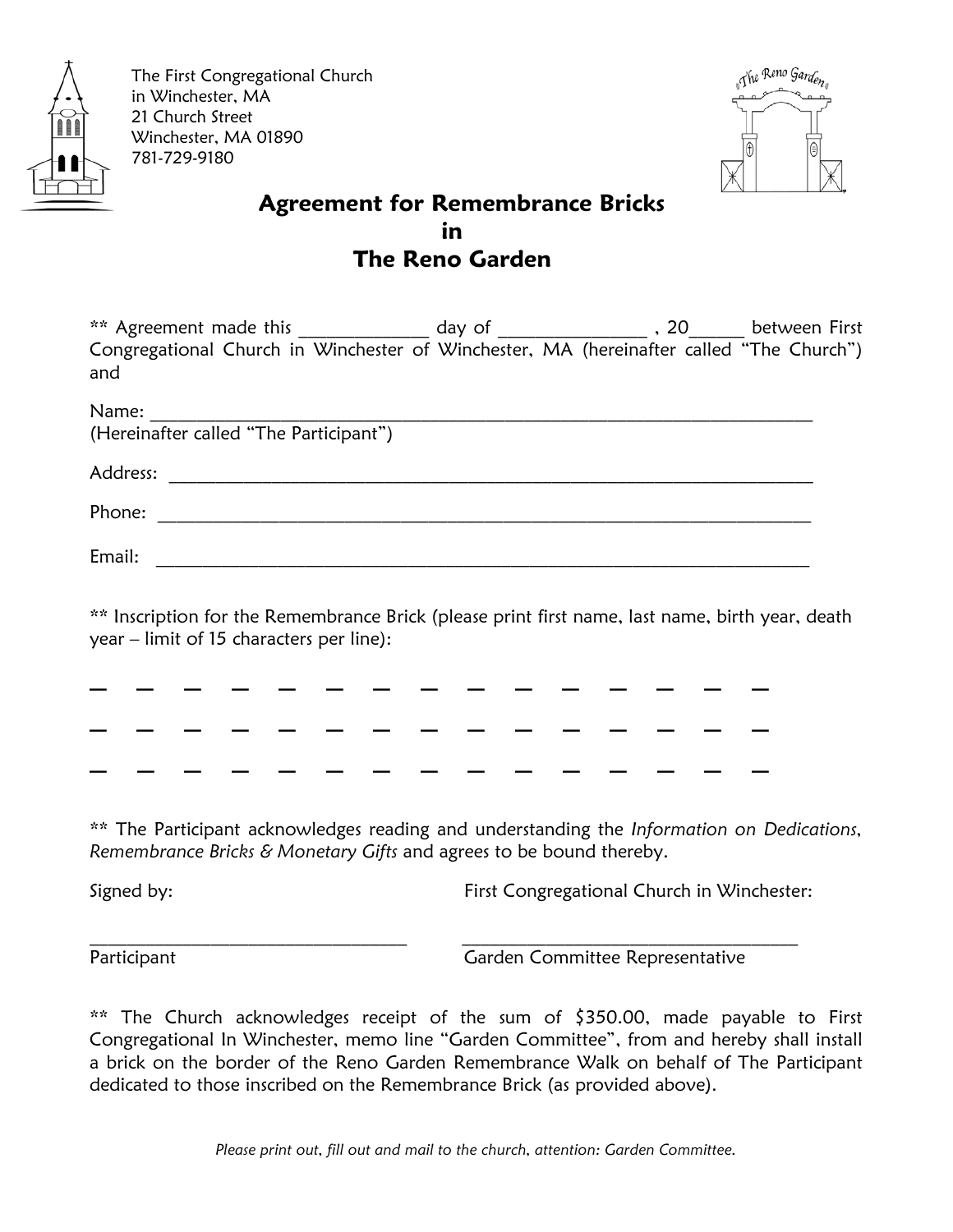

The First Congregational Church in Winchester, MA 21 Church Street Winchester, MA 01890 781-729-9180



## **Agreement for Remembrance Bricks in** in the contract of the contract of the contract of the contract of the contract of the contract of the con  **The Reno Garden**

| ** Agreement made this | day of                                                                                  | between First |
|------------------------|-----------------------------------------------------------------------------------------|---------------|
| and                    | Congregational Church in Winchester of Winchester, MA (hereinafter called "The Church") |               |
|                        |                                                                                         |               |

| Name:    |                                        |
|----------|----------------------------------------|
|          | (Hereinafter called "The Participant") |
| Address: |                                        |
| Phone:   |                                        |
| Email:   |                                        |

\*\* Inscription for the Remembrance Brick (please print first name, last name, birth year, death year – limit of 15 characters per line):

\_ \_ \_ \_ \_ \_ \_ \_ \_ \_ \_ \_ \_ \_ \_ \_ \_ \_ \_ \_ \_ \_ \_ \_ \_ \_ \_ \_ \_ \_ \_ \_ \_ \_ \_ \_ \_ \_ \_ \_ \_ \_ \_ \_ \_ \_ \_ \_ \_ \_

\*\* The Participant acknowledges reading and understanding the *Information on Dedications, Remembrance Bricks & Monetary Gifts* and agrees to be bound thereby.

Signed by: First Congregational Church in Winchester:

 $\_$  , and the set of the set of the set of the set of the set of the set of the set of the set of the set of the set of the set of the set of the set of the set of the set of the set of the set of the set of the set of th

Participant **Committee Representative** Garden Committee Representative

\*\* The Church acknowledges receipt of the sum of \$350.00, made payable to First Congregational In Winchester, memo line "Garden Committee", from and hereby shall install a brick on the border of the Reno Garden Remembrance Walk on behalf of The Participant dedicated to those inscribed on the Remembrance Brick (as provided above).